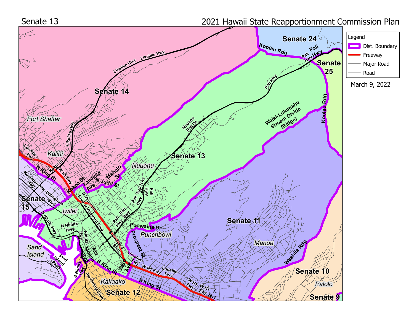